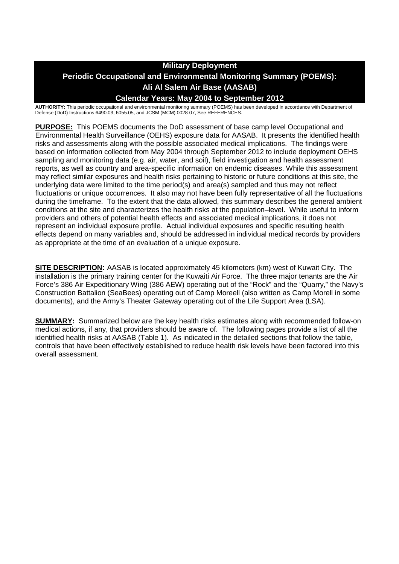# **Military Deployment Periodic Occupational and Environmental Monitoring Summary (POEMS): Ali Al Salem Air Base (AASAB) Calendar Years: May 2004 to September 2012**

**AUTHORITY:** This periodic occupational and environmental monitoring summary (POEMS) has been developed in accordance with Department of Defense (DoD) Instructions 6490.03, 6055.05, and JCSM (MCM) 0028-07, See REFERENCES.

**PURPOSE:** This POEMS documents the DoD assessment of base camp level Occupational and Environmental Health Surveillance (OEHS) exposure data for AASAB. It presents the identified health risks and assessments along with the possible associated medical implications. The findings were based on information collected from May 2004 through September 2012 to include deployment OEHS sampling and monitoring data (e.g. air, water, and soil), field investigation and health assessment reports, as well as country and area-specific information on endemic diseases. While this assessment may reflect similar exposures and health risks pertaining to historic or future conditions at this site, the underlying data were limited to the time period(s) and area(s) sampled and thus may not reflect fluctuations or unique occurrences. It also may not have been fully representative of all the fluctuations during the timeframe. To the extent that the data allowed, this summary describes the general ambient conditions at the site and characterizes the health risks at the population–level. While useful to inform providers and others of potential health effects and associated medical implications, it does not represent an individual exposure profile. Actual individual exposures and specific resulting health effects depend on many variables and, should be addressed in individual medical records by providers as appropriate at the time of an evaluation of a unique exposure.

**SITE DESCRIPTION:** AASAB is located approximately 45 kilometers (km) west of Kuwait City. The installation is the primary training center for the Kuwaiti Air Force. The three major tenants are the Air Force's 386 Air Expeditionary Wing (386 AEW) operating out of the "Rock" and the "Quarry," the Navy's Construction Battalion (SeaBees) operating out of Camp Moreell (also written as Camp Morell in some documents), and the Army's Theater Gateway operating out of the Life Support Area (LSA).

**SUMMARY:** Summarized below are the key health risks estimates along with recommended follow-on medical actions, if any, that providers should be aware of. The following pages provide a list of all the identified health risks at AASAB (Table 1). As indicated in the detailed sections that follow the table, controls that have been effectively established to reduce health risk levels have been factored into this overall assessment.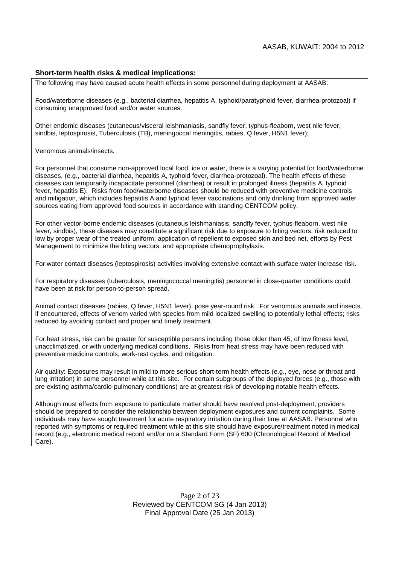#### **Short-term health risks & medical implications:**

The following may have caused acute health effects in some personnel during deployment at AASAB:

Food/waterborne diseases (e.g., bacterial diarrhea, hepatitis A, typhoid/paratyphoid fever, diarrhea-protozoal) if consuming unapproved food and/or water sources.

Other endemic diseases (cutaneous/visceral leishmaniasis, sandfly fever, typhus-fleaborn, west nile fever, sindbis, leptospirosis, Tuberculosis (TB), meningoccal meningitis, rabies, Q fever, H5N1 fever);

Venomous animals/insects.

For personnel that consume non-approved local food, ice or water, there is a varying potential for food/waterborne diseases, (e.g., bacterial diarrhea, hepatitis A, typhoid fever, diarrhea-protozoal). The health effects of these diseases can temporarily incapacitate personnel (diarrhea) or result in prolonged illness (hepatitis A, typhoid fever, hepatitis E). Risks from food/waterborne diseases should be reduced with preventive medicine controls and mitigation, which includes hepatitis A and typhoid fever vaccinations and only drinking from approved water sources eating from approved food sources in accordance with standing CENTCOM policy.

For other vector-borne endemic diseases (cutaneous leishmaniasis, sandfly fever, typhus-fleaborn, west nile fever, sindbis), these diseases may constitute a significant risk due to exposure to biting vectors; risk reduced to low by proper wear of the treated uniform, application of repellent to exposed skin and bed net, efforts by Pest Management to minimize the biting vectors, and appropriate chemoprophylaxis.

For water contact diseases (leptospirosis) activities involving extensive contact with surface water increase risk.

For respiratory diseases (tuberculosis, meningococcal meningitis) personnel in close-quarter conditions could have been at risk for person-to-person spread.

Animal contact diseases (rabies, Q fever, H5N1 fever), pose year-round risk. For venomous animals and insects, if encountered, effects of venom varied with species from mild localized swelling to potentially lethal effects; risks reduced by avoiding contact and proper and timely treatment.

For heat stress, risk can be greater for susceptible persons including those older than 45, of low fitness level, unacclimatized, or with underlying medical conditions. Risks from heat stress may have been reduced with preventive medicine controls, work-rest cycles, and mitigation.

Air quality: Exposures may result in mild to more serious short-term health effects (e.g., eye, nose or throat and lung irritation) in some personnel while at this site. For certain subgroups of the deployed forces (e.g., those with pre-existing asthma/cardio-pulmonary conditions) are at greatest risk of developing notable health effects.

Although most effects from exposure to particulate matter should have resolved post-deployment, providers should be prepared to consider the relationship between deployment exposures and current complaints. Some individuals may have sought treatment for acute respiratory irritation during their time at AASAB. Personnel who reported with symptoms or required treatment while at this site should have exposure/treatment noted in medical record (e.g., electronic medical record and/or on a Standard Form (SF) 600 (Chronological Record of Medical Care).

> Page 2 of 23 Reviewed by CENTCOM SG (4 Jan 2013) Final Approval Date (25 Jan 2013)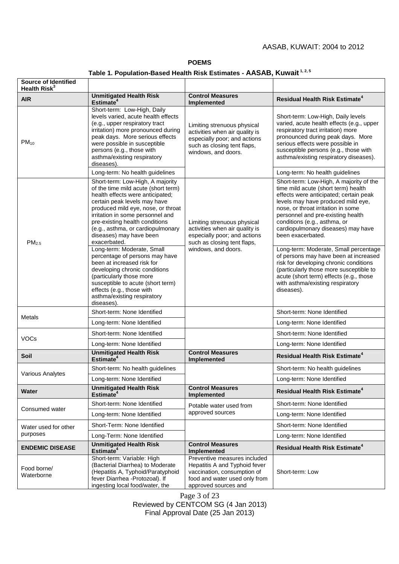#### **POEMS**

# **Table 1. Population-Based Health Risk Estimates - AASAB, Kuwait 1, 2, 5**

| Source of Identified<br>Health Risk <sup>3</sup> |                                                                                                                                                                                                                                                                                                                                         |                                                                                                                                                       |                                                                                                                                                                                                                                                                                                                                      |
|--------------------------------------------------|-----------------------------------------------------------------------------------------------------------------------------------------------------------------------------------------------------------------------------------------------------------------------------------------------------------------------------------------|-------------------------------------------------------------------------------------------------------------------------------------------------------|--------------------------------------------------------------------------------------------------------------------------------------------------------------------------------------------------------------------------------------------------------------------------------------------------------------------------------------|
| <b>AIR</b>                                       | <b>Unmitigated Health Risk</b><br>Estimate <sup>4</sup>                                                                                                                                                                                                                                                                                 | <b>Control Measures</b><br>Implemented                                                                                                                | <b>Residual Health Risk Estimate<sup>4</sup></b>                                                                                                                                                                                                                                                                                     |
| $PM_{10}$                                        | Short-term: Low-High, Daily<br>levels varied, acute health effects<br>(e.g., upper respiratory tract<br>irritation) more pronounced during<br>peak days. More serious effects<br>were possible in susceptible<br>persons (e.g., those with<br>asthma/existing respiratory<br>diseases).                                                 | Limiting strenuous physical<br>activities when air quality is<br>especially poor; and actions<br>such as closing tent flaps,<br>windows, and doors.   | Short-term: Low-High, Daily levels<br>varied, acute health effects (e.g., upper<br>respiratory tract irritation) more<br>pronounced during peak days. More<br>serious effects were possible in<br>susceptible persons (e.g., those with<br>asthma/existing respiratory diseases).                                                    |
|                                                  | Long-term: No health guidelines                                                                                                                                                                                                                                                                                                         |                                                                                                                                                       | Long-term: No health guidelines                                                                                                                                                                                                                                                                                                      |
| PM <sub>2.5</sub>                                | Short-term: Low-High, A majority<br>of the time mild acute (short term)<br>health effects were anticipated;<br>certain peak levels may have<br>produced mild eye, nose, or throat<br>irritation in some personnel and<br>pre-existing health conditions<br>(e.g., asthma, or cardiopulmonary<br>diseases) may have been<br>exacerbated. | Limiting strenuous physical<br>activities when air quality is<br>especially poor; and actions<br>such as closing tent flaps,<br>windows, and doors.   | Short-term: Low-High, A majority of the<br>time mild acute (short term) health<br>effects were anticipated; certain peak<br>levels may have produced mild eye,<br>nose, or throat irritation in some<br>personnel and pre-existing health<br>conditions (e.g., asthma, or<br>cardiopulmonary diseases) may have<br>been exacerbated. |
|                                                  | Long-term: Moderate, Small<br>percentage of persons may have<br>been at increased risk for<br>developing chronic conditions<br>(particularly those more<br>susceptible to acute (short term)<br>effects (e.g., those with<br>asthma/existing respiratory<br>diseases).                                                                  |                                                                                                                                                       | Long-term: Moderate, Small percentage<br>of persons may have been at increased<br>risk for developing chronic conditions<br>(particularly those more susceptible to<br>acute (short term) effects (e.g., those<br>with asthma/existing respiratory<br>diseases).                                                                     |
| Metals                                           | Short-term: None Identified                                                                                                                                                                                                                                                                                                             |                                                                                                                                                       | Short-term: None Identified                                                                                                                                                                                                                                                                                                          |
|                                                  | Long-term: None Identified                                                                                                                                                                                                                                                                                                              |                                                                                                                                                       | Long-term: None Identified                                                                                                                                                                                                                                                                                                           |
| <b>VOCs</b>                                      | Short-term: None Identified                                                                                                                                                                                                                                                                                                             |                                                                                                                                                       | Short-term: None Identified                                                                                                                                                                                                                                                                                                          |
|                                                  | Long-term: None Identified                                                                                                                                                                                                                                                                                                              |                                                                                                                                                       | Long-term: None Identified                                                                                                                                                                                                                                                                                                           |
| Soil                                             | <b>Unmitigated Health Risk</b><br>Estimate <sup>4</sup>                                                                                                                                                                                                                                                                                 | <b>Control Measures</b><br>Implemented                                                                                                                | <b>Residual Health Risk Estimate<sup>4</sup></b>                                                                                                                                                                                                                                                                                     |
| <b>Various Analytes</b>                          | Short-term: No health guidelines                                                                                                                                                                                                                                                                                                        |                                                                                                                                                       | Short-term: No health guidelines                                                                                                                                                                                                                                                                                                     |
|                                                  | Long-term: None Identified                                                                                                                                                                                                                                                                                                              |                                                                                                                                                       | Long-term: None Identified                                                                                                                                                                                                                                                                                                           |
| <b>Water</b>                                     | Unmitigated Health Risk<br>Estimate <sup>4</sup>                                                                                                                                                                                                                                                                                        | <b>Control Measures</b><br>Implemented                                                                                                                | <b>Residual Health Risk Estimate<sup>4</sup></b>                                                                                                                                                                                                                                                                                     |
| Consumed water                                   | Short-term: None Identified                                                                                                                                                                                                                                                                                                             | Potable water used from<br>approved sources                                                                                                           | Short-term: None Identified                                                                                                                                                                                                                                                                                                          |
|                                                  | Long-term: None Identified                                                                                                                                                                                                                                                                                                              |                                                                                                                                                       | Long-term: None Identified                                                                                                                                                                                                                                                                                                           |
| Water used for other<br>purposes                 | Short-Term: None Identified                                                                                                                                                                                                                                                                                                             |                                                                                                                                                       | Short-term: None Identified                                                                                                                                                                                                                                                                                                          |
|                                                  | Long-Term: None Identified                                                                                                                                                                                                                                                                                                              |                                                                                                                                                       | Long-term: None Identified                                                                                                                                                                                                                                                                                                           |
| <b>ENDEMIC DISEASE</b>                           | <b>Unmitigated Health Risk</b><br>Estimate <sup>4</sup>                                                                                                                                                                                                                                                                                 | <b>Control Measures</b><br>Implemented                                                                                                                | <b>Residual Health Risk Estimate<sup>4</sup></b>                                                                                                                                                                                                                                                                                     |
| Food borne/<br>Waterborne                        | Short-term: Variable: High<br>(Bacterial Diarrhea) to Moderate<br>(Hepatitis A, Typhoid/Paratyphoid<br>fever Diarrhea - Protozoal). If<br>ingesting local food/water, the                                                                                                                                                               | Preventive measures included<br>Hepatitis A and Typhoid fever<br>vaccination, consumption of<br>food and water used only from<br>approved sources and | Short-term: Low                                                                                                                                                                                                                                                                                                                      |

Page 3 of 23 Reviewed by CENTCOM SG (4 Jan 2013) Final Approval Date (25 Jan 2013)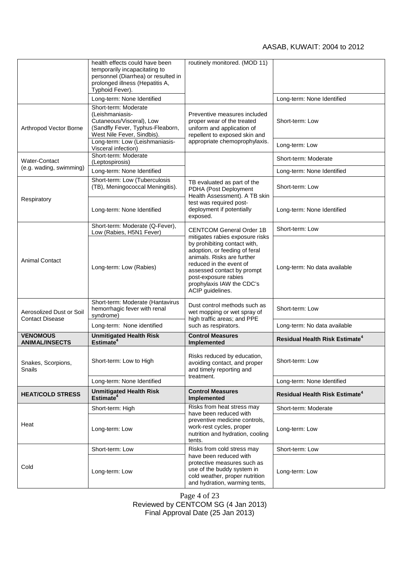|                                                    | health effects could have been<br>temporarily incapacitating to<br>personnel (Diarrhea) or resulted in<br>prolonged illness (Hepatitis A,<br>Typhoid Fever). | routinely monitored. (MOD 11)                                                                                                                                                                                                                                                                       |                                                  |
|----------------------------------------------------|--------------------------------------------------------------------------------------------------------------------------------------------------------------|-----------------------------------------------------------------------------------------------------------------------------------------------------------------------------------------------------------------------------------------------------------------------------------------------------|--------------------------------------------------|
|                                                    | Long-term: None Identified                                                                                                                                   |                                                                                                                                                                                                                                                                                                     | Long-term: None Identified                       |
| Arthropod Vector Borne                             | Short-term: Moderate<br>(Leishmaniasis-<br>Cutaneous/Visceral), Low<br>(Sandfly Fever, Typhus-Fleaborn,<br>West Nile Fever, Sindbis).                        | Preventive measures included<br>proper wear of the treated<br>uniform and application of<br>repellent to exposed skin and<br>appropriate chemoprophylaxis.                                                                                                                                          | Short-term: Low                                  |
|                                                    | Long-term: Low (Leishmaniasis-<br>Visceral infection)                                                                                                        |                                                                                                                                                                                                                                                                                                     | Long-term: Low                                   |
| <b>Water-Contact</b><br>(e.g. wading, swimming)    | Short-term: Moderate<br>(Leptospirosis)                                                                                                                      |                                                                                                                                                                                                                                                                                                     | Short-term: Moderate                             |
|                                                    | Long-term: None Identified                                                                                                                                   |                                                                                                                                                                                                                                                                                                     | Long-term: None Identified                       |
| Respiratory                                        | Short-term: Low (Tuberculosis<br>(TB), Meningococcal Meningitis).                                                                                            | TB evaluated as part of the<br>PDHA (Post Deployment<br>Health Assessment). A TB skin<br>test was required post-<br>deployment if potentially<br>exposed.                                                                                                                                           | Short-term: Low                                  |
|                                                    | Long-term: None Identified                                                                                                                                   |                                                                                                                                                                                                                                                                                                     | Long-term: None Identified                       |
|                                                    | Short-term: Moderate (Q-Fever),<br>Low (Rabies, H5N1 Fever)                                                                                                  | <b>CENTCOM General Order 1B</b><br>mitigates rabies exposure risks<br>by prohibiting contact with,<br>adoption, or feeding of feral<br>animals. Risks are further<br>reduced in the event of<br>assessed contact by prompt<br>post-exposure rabies<br>prophylaxis IAW the CDC's<br>ACIP guidelines. | Short-term: Low                                  |
| <b>Animal Contact</b>                              | Long-term: Low (Rabies)                                                                                                                                      |                                                                                                                                                                                                                                                                                                     | Long-term: No data available                     |
| Aerosolized Dust or Soil<br><b>Contact Disease</b> | Short-term: Moderate (Hantavirus<br>hemorrhagic fever with renal<br>syndrome)                                                                                | Dust control methods such as<br>wet mopping or wet spray of<br>high traffic areas; and PPE                                                                                                                                                                                                          | Short-term: Low                                  |
|                                                    | Long-term: None identified                                                                                                                                   | such as respirators.                                                                                                                                                                                                                                                                                | Long-term: No data available                     |
| <b>VENOMOUS</b><br><b>ANIMAL/INSECTS</b>           | <b>Unmitigated Health Risk</b><br>Estimate <sup>4</sup>                                                                                                      | <b>Control Measures</b><br><b>Implemented</b>                                                                                                                                                                                                                                                       | <b>Residual Health Risk Estimate<sup>4</sup></b> |
| Snakes, Scorpions,<br>Snails                       | Short-term: Low to High                                                                                                                                      | Risks reduced by education,<br>avoiding contact, and proper<br>and timely reporting and<br>treatment.                                                                                                                                                                                               | Short-term: Low                                  |
|                                                    | Long-term: None Identified                                                                                                                                   |                                                                                                                                                                                                                                                                                                     | Long-term: None Identified                       |
| <b>HEAT/COLD STRESS</b>                            | <b>Unmitigated Health Risk</b><br>Estimate <sup>4</sup>                                                                                                      | <b>Control Measures</b><br><b>Implemented</b>                                                                                                                                                                                                                                                       | <b>Residual Health Risk Estimate<sup>4</sup></b> |
| Heat                                               | Short-term: High                                                                                                                                             | Risks from heat stress may<br>have been reduced with                                                                                                                                                                                                                                                | Short-term: Moderate                             |
|                                                    | Long-term: Low                                                                                                                                               | preventive medicine controls,<br>work-rest cycles, proper<br>nutrition and hydration, cooling<br>tents.                                                                                                                                                                                             | Long-term: Low                                   |
| Cold                                               | Short-term: Low                                                                                                                                              | Risks from cold stress may                                                                                                                                                                                                                                                                          | Short-term: Low                                  |
|                                                    | Long-term: Low                                                                                                                                               | have been reduced with<br>protective measures such as<br>use of the buddy system in<br>cold weather, proper nutrition<br>and hydration, warming tents,                                                                                                                                              | Long-term: Low                                   |

Page 4 of 23 Reviewed by CENTCOM SG (4 Jan 2013) Final Approval Date (25 Jan 2013)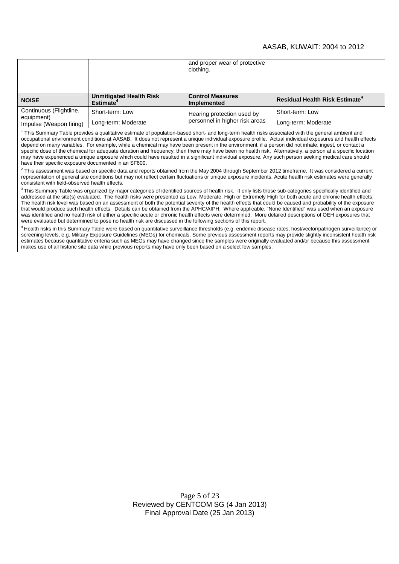|                                                                  |                                                         | and proper wear of protective<br>clothing.                   |                                                  |
|------------------------------------------------------------------|---------------------------------------------------------|--------------------------------------------------------------|--------------------------------------------------|
| <b>NOISE</b>                                                     | <b>Unmitigated Health Risk</b><br>Estimate <sup>4</sup> | <b>Control Measures</b><br><b>Implemented</b>                | <b>Residual Health Risk Estimate<sup>4</sup></b> |
| Continuous (Flightline,<br>equipment)<br>Impulse (Weapon firing) | Short-term: Low                                         | Hearing protection used by<br>personnel in higher risk areas | Short-term: Low                                  |
|                                                                  | Long-term: Moderate                                     |                                                              | Long-term: Moderate                              |

<sup>1</sup> This Summary Table provides a qualitative estimate of population-based short- and long-term health risks associated with the general ambient and occupational environment conditions at AASAB. It does not represent a unique individual exposure profile. Actual individual exposures and health effects depend on many variables. For example, while a chemical may have been present in the environment, if a person did not inhale, ingest, or contact a specific dose of the chemical for adequate duration and frequency, then there may have been no health risk. Alternatively, a person at a specific location may have experienced a unique exposure which could have resulted in a significant individual exposure. Any such person seeking medical care should have their specific exposure documented in an SF600.

 $^2$  This assessment was based on specific data and reports obtained from the May 2004 through September 2012 timeframe. It was considered a current representation of general site conditions but may not reflect certain fluctuations or unique exposure incidents. Acute health risk estimates were generally consistent with field-observed health effects.

 $3$ This Summary Table was organized by major categories of identified sources of health risk. It only lists those sub-categories specifically identified and addressed at the site(s) evaluated. The health risks were presented as Low, Moderate, High or Extremely High for both acute and chronic health effects. The health risk level was based on an assessment of both the potential severity of the health effects that could be caused and probability of the exposure that would produce such health effects. Details can be obtained from the APHC/AIPH. Where applicable, "None Identified" was used when an exposure was identified and no health risk of either a specific acute or chronic health effects were determined. More detailed descriptions of OEH exposures that were evaluated but determined to pose no health risk are discussed in the following sections of this report.

<sup>4</sup> Health risks in this Summary Table were based on quantitative surveillance thresholds (e.g. endemic disease rates; host/vector/pathogen surveillance) or screening levels, e.g. Military Exposure Guidelines (MEGs) for chemicals. Some previous assessment reports may provide slightly inconsistent health risk estimates because quantitative criteria such as MEGs may have changed since the samples were originally evaluated and/or because this assessment makes use of all historic site data while previous reports may have only been based on a select few samples.

> Page 5 of 23 Reviewed by CENTCOM SG (4 Jan 2013) Final Approval Date (25 Jan 2013)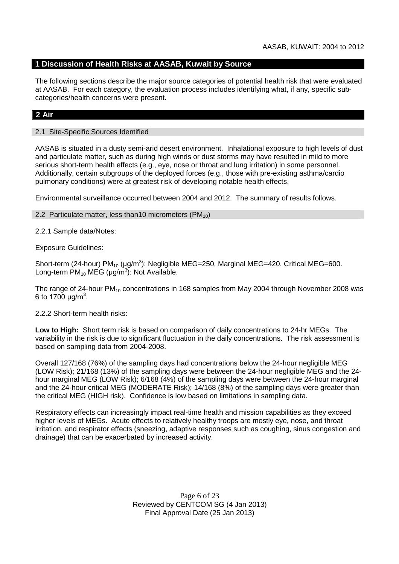## **1 Discussion of Health Risks at AASAB, Kuwait by Source**

The following sections describe the major source categories of potential health risk that were evaluated at AASAB. For each category, the evaluation process includes identifying what, if any, specific subcategories/health concerns were present.

## **2 Air**

#### 2.1 Site-Specific Sources Identified

AASAB is situated in a dusty semi-arid desert environment. Inhalational exposure to high levels of dust and particulate matter, such as during high winds or dust storms may have resulted in mild to more serious short-term health effects (e.g., eye, nose or throat and lung irritation) in some personnel. Additionally, certain subgroups of the deployed forces (e.g., those with pre-existing asthma/cardio pulmonary conditions) were at greatest risk of developing notable health effects.

Environmental surveillance occurred between 2004 and 2012. The summary of results follows.

#### 2.2 Particulate matter, less than 10 micrometers ( $PM_{10}$ )

#### 2.2.1 Sample data/Notes:

Exposure Guidelines:

Short-term (24-hour) PM<sub>10</sub> (μg/m<sup>3</sup>): Negligible MEG=250, Marginal MEG=420, Critical MEG=600. Long-term  $PM_{10}$  MEG (µg/m<sup>3</sup>): Not Available.

The range of 24-hour PM<sub>10</sub> concentrations in 168 samples from May 2004 through November 2008 was 6 to 1700  $\mu$ g/m<sup>3</sup>.

#### 2.2.2 Short-term health risks:

**Low to High:** Short term risk is based on comparison of daily concentrations to 24-hr MEGs. The variability in the risk is due to significant fluctuation in the daily concentrations. The risk assessment is based on sampling data from 2004-2008.

Overall 127/168 (76%) of the sampling days had concentrations below the 24-hour negligible MEG (LOW Risk); 21/168 (13%) of the sampling days were between the 24-hour negligible MEG and the 24 hour marginal MEG (LOW Risk); 6/168 (4%) of the sampling days were between the 24-hour marginal and the 24-hour critical MEG (MODERATE Risk); 14/168 (8%) of the sampling days were greater than the critical MEG (HIGH risk). Confidence is low based on limitations in sampling data.

Respiratory effects can increasingly impact real-time health and mission capabilities as they exceed higher levels of MEGs. Acute effects to relatively healthy troops are mostly eye, nose, and throat irritation, and respirator effects (sneezing, adaptive responses such as coughing, sinus congestion and drainage) that can be exacerbated by increased activity.

> Page 6 of 23 Reviewed by CENTCOM SG (4 Jan 2013) Final Approval Date (25 Jan 2013)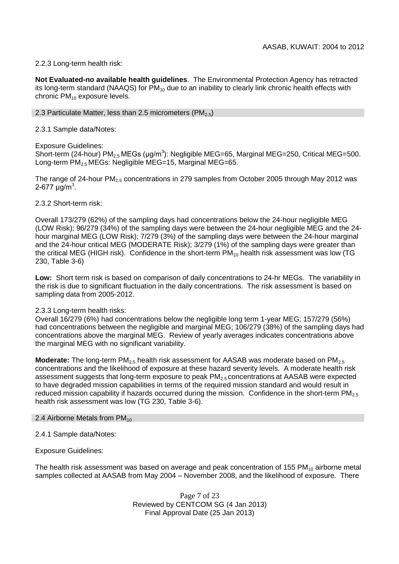## 2.2.3 Long-term health risk:

**Not Evaluated-no available health guidelines**. The Environmental Protection Agency has retracted its long-term standard (NAAQS) for  $PM_{10}$  due to an inability to clearly link chronic health effects with chronic  $PM_{10}$  exposure levels.

## 2.3 Particulate Matter, less than 2.5 micrometers (PM $_{2.5}$ )

2.3.1 Sample data/Notes:

## Exposure Guidelines:

Short-term (24-hour) PM<sub>2.5</sub> MEGs (μg/m<sup>3</sup>): Negligible MEG=65, Marginal MEG=250, Critical MEG=500. Long-term PM<sub>2.5</sub> MEGs: Negligible MEG=15, Marginal MEG=65.

The range of 24-hour  $PM<sub>2.5</sub>$  concentrations in 279 samples from October 2005 through May 2012 was 2-677 μg/m<sup>3</sup>.

2.3.2 Short-term risk:

Overall 173/279 (62%) of the sampling days had concentrations below the 24-hour negligible MEG (LOW Risk); 96/279 (34%) of the sampling days were between the 24-hour negligible MEG and the 24 hour marginal MEG (LOW Risk); 7/279 (3%) of the sampling days were between the 24-hour marginal and the 24-hour critical MEG (MODERATE Risk); 3/279 (1%) of the sampling days were greater than the critical MEG (HIGH risk). Confidence in the short-term  $PM_{10}$  health risk assessment was low (TG 230, Table 3-6)

**Low:** Short term risk is based on comparison of daily concentrations to 24-hr MEGs. The variability in the risk is due to significant fluctuation in the daily concentrations. The risk assessment is based on sampling data from 2005-2012.

## 2.3.3 Long-term health risks:

Overall 16/279 (6%) had concentrations below the negligible long term 1-year MEG; 157/279 (56%) had concentrations between the negligible and marginal MEG; 106/279 (38%) of the sampling days had concentrations above the marginal MEG. Review of yearly averages indicates concentrations above the marginal MEG with no significant variability.

**Moderate:** The long-term PM<sub>2.5</sub> health risk assessment for AASAB was moderate based on PM<sub>2.5</sub> concentrations and the likelihood of exposure at these hazard severity levels. A moderate health risk assessment suggests that long-term exposure to peak PM<sub>2.5</sub> concentrations at AASAB were expected to have degraded mission capabilities in terms of the required mission standard and would result in reduced mission capability if hazards occurred during the mission. Confidence in the short-term  $PM_{2.5}$ health risk assessment was low (TG 230, Table 3-6).

#### 2.4 Airborne Metals from  $PM_{10}$

2.4.1 Sample data/Notes:

Exposure Guidelines:

The health risk assessment was based on average and peak concentration of 155 PM $_{10}$  airborne metal samples collected at AASAB from May 2004 – November 2008, and the likelihood of exposure. There

> Page 7 of 23 Reviewed by CENTCOM SG (4 Jan 2013) Final Approval Date (25 Jan 2013)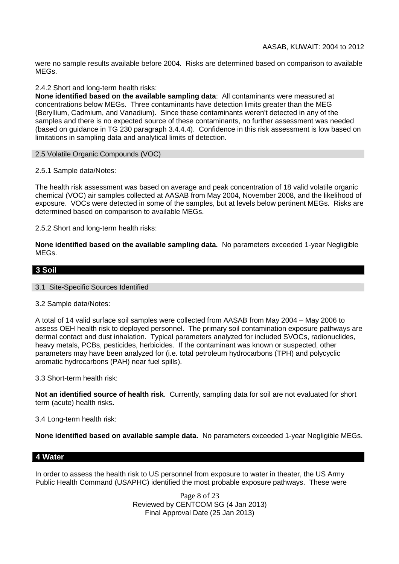were no sample results available before 2004. Risks are determined based on comparison to available MEGs.

## 2.4.2 Short and long-term health risks:

**None identified based on the available sampling data**: All contaminants were measured at concentrations below MEGs. Three contaminants have detection limits greater than the MEG (Beryllium, Cadmium, and Vanadium). Since these contaminants weren't detected in any of the samples and there is no expected source of these contaminants, no further assessment was needed (based on guidance in TG 230 paragraph 3.4.4.4). Confidence in this risk assessment is low based on limitations in sampling data and analytical limits of detection.

#### 2.5 Volatile Organic Compounds (VOC)

2.5.1 Sample data/Notes:

The health risk assessment was based on average and peak concentration of 18 valid volatile organic chemical (VOC) air samples collected at AASAB from May 2004, November 2008, and the likelihood of exposure. VOCs were detected in some of the samples, but at levels below pertinent MEGs. Risks are determined based on comparison to available MEGs.

2.5.2 Short and long-term health risks:

**None identified based on the available sampling data.** No parameters exceeded 1-year Negligible MEGs.

## **3 Soil**

#### 3.1 Site-Specific Sources Identified

#### 3.2 Sample data/Notes:

A total of 14 valid surface soil samples were collected from AASAB from May 2004 – May 2006 to assess OEH health risk to deployed personnel. The primary soil contamination exposure pathways are dermal contact and dust inhalation. Typical parameters analyzed for included SVOCs, radionuclides, heavy metals, PCBs, pesticides, herbicides. If the contaminant was known or suspected, other parameters may have been analyzed for (i.e. total petroleum hydrocarbons (TPH) and polycyclic aromatic hydrocarbons (PAH) near fuel spills).

3.3 Short-term health risk:

**Not an identified source of health risk**. Currently, sampling data for soil are not evaluated for short term (acute) health risks**.**

#### 3.4 Long-term health risk:

**None identified based on available sample data.** No parameters exceeded 1-year Negligible MEGs.

## **4 Water**

In order to assess the health risk to US personnel from exposure to water in theater, the US Army Public Health Command (USAPHC) identified the most probable exposure pathways. These were

> Page 8 of 23 Reviewed by CENTCOM SG (4 Jan 2013) Final Approval Date (25 Jan 2013)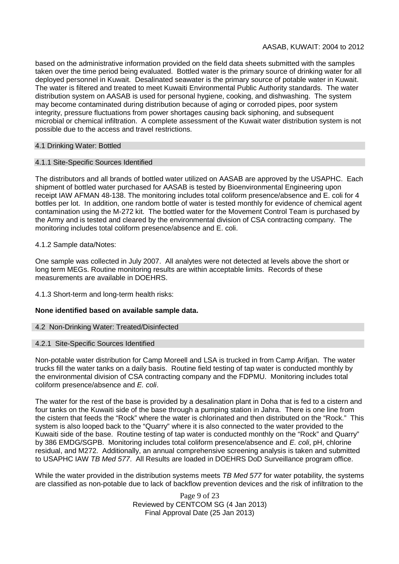based on the administrative information provided on the field data sheets submitted with the samples taken over the time period being evaluated. Bottled water is the primary source of drinking water for all deployed personnel in Kuwait. Desalinated seawater is the primary source of potable water in Kuwait. The water is filtered and treated to meet Kuwaiti Environmental Public Authority standards. The water distribution system on AASAB is used for personal hygiene, cooking, and dishwashing. The system may become contaminated during distribution because of aging or corroded pipes, poor system integrity, pressure fluctuations from power shortages causing back siphoning, and subsequent microbial or chemical infiltration. A complete assessment of the Kuwait water distribution system is not possible due to the access and travel restrictions.

## 4.1 Drinking Water: Bottled

#### 4.1.1 Site-Specific Sources Identified

The distributors and all brands of bottled water utilized on AASAB are approved by the USAPHC. Each shipment of bottled water purchased for AASAB is tested by Bioenvironmental Engineering upon receipt IAW AFMAN 48-138. The monitoring includes total coliform presence/absence and E. coli for 4 bottles per lot. In addition, one random bottle of water is tested monthly for evidence of chemical agent contamination using the M-272 kit. The bottled water for the Movement Control Team is purchased by the Army and is tested and cleared by the environmental division of CSA contracting company. The monitoring includes total coliform presence/absence and E. coli.

## 4.1.2 Sample data/Notes:

One sample was collected in July 2007. All analytes were not detected at levels above the short or long term MEGs. Routine monitoring results are within acceptable limits. Records of these measurements are available in DOEHRS.

4.1.3 Short-term and long-term health risks:

## **None identified based on available sample data.**

#### 4.2 Non-Drinking Water: Treated/Disinfected

#### 4.2.1 Site-Specific Sources Identified

Non-potable water distribution for Camp Moreell and LSA is trucked in from Camp Arifjan. The water trucks fill the water tanks on a daily basis. Routine field testing of tap water is conducted monthly by the environmental division of CSA contracting company and the FDPMU. Monitoring includes total coliform presence/absence and *E. coli*.

The water for the rest of the base is provided by a desalination plant in Doha that is fed to a cistern and four tanks on the Kuwaiti side of the base through a pumping station in Jahra. There is one line from the cistern that feeds the "Rock" where the water is chlorinated and then distributed on the "Rock." This system is also looped back to the "Quarry" where it is also connected to the water provided to the Kuwaiti side of the base. Routine testing of tap water is conducted monthly on the "Rock" and Quarry" by 386 EMDG/SGPB. Monitoring includes total coliform presence/absence and *E. coli*, pH, chlorine residual, and M272. Additionally, an annual comprehensive screening analysis is taken and submitted to USAPHC IAW *TB Med 577*. All Results are loaded in DOEHRS DoD Surveillance program office.

While the water provided in the distribution systems meets *TB Med 577* for water potability, the systems are classified as non-potable due to lack of backflow prevention devices and the risk of infiltration to the

> Page 9 of 23 Reviewed by CENTCOM SG (4 Jan 2013) Final Approval Date (25 Jan 2013)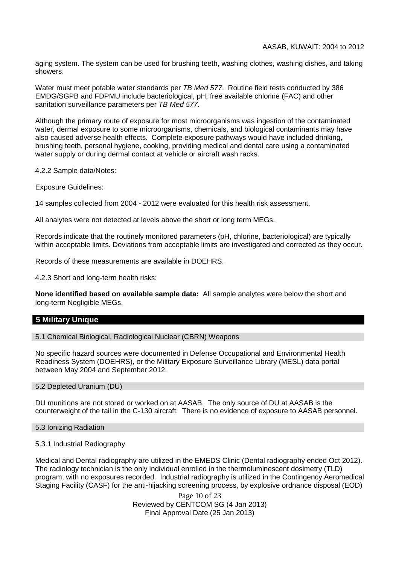aging system. The system can be used for brushing teeth, washing clothes, washing dishes, and taking showers.

Water must meet potable water standards per *TB Med 577*. Routine field tests conducted by 386 EMDG/SGPB and FDPMU include bacteriological, pH, free available chlorine (FAC) and other sanitation surveillance parameters per *TB Med 577*.

Although the primary route of exposure for most microorganisms was ingestion of the contaminated water, dermal exposure to some microorganisms, chemicals, and biological contaminants may have also caused adverse health effects. Complete exposure pathways would have included drinking, brushing teeth, personal hygiene, cooking, providing medical and dental care using a contaminated water supply or during dermal contact at vehicle or aircraft wash racks.

4.2.2 Sample data/Notes:

Exposure Guidelines:

14 samples collected from 2004 - 2012 were evaluated for this health risk assessment.

All analytes were not detected at levels above the short or long term MEGs.

Records indicate that the routinely monitored parameters (pH, chlorine, bacteriological) are typically within acceptable limits. Deviations from acceptable limits are investigated and corrected as they occur.

Records of these measurements are available in DOEHRS.

4.2.3 Short and long-term health risks:

**None identified based on available sample data:** All sample analytes were below the short and long-term Negligible MEGs.

#### **5 Military Unique**

5.1 Chemical Biological, Radiological Nuclear (CBRN) Weapons

No specific hazard sources were documented in Defense Occupational and Environmental Health Readiness System (DOEHRS), or the Military Exposure Surveillance Library (MESL) data portal between May 2004 and September 2012.

5.2 Depleted Uranium (DU)

DU munitions are not stored or worked on at AASAB. The only source of DU at AASAB is the counterweight of the tail in the C-130 aircraft. There is no evidence of exposure to AASAB personnel.

5.3 Ionizing Radiation

5.3.1 Industrial Radiography

Medical and Dental radiography are utilized in the EMEDS Clinic (Dental radiography ended Oct 2012). The radiology technician is the only individual enrolled in the thermoluminescent dosimetry (TLD) program, with no exposures recorded. Industrial radiography is utilized in the Contingency Aeromedical Staging Facility (CASF) for the anti-hijacking screening process, by explosive ordnance disposal (EOD)

> Page 10 of 23 Reviewed by CENTCOM SG (4 Jan 2013) Final Approval Date (25 Jan 2013)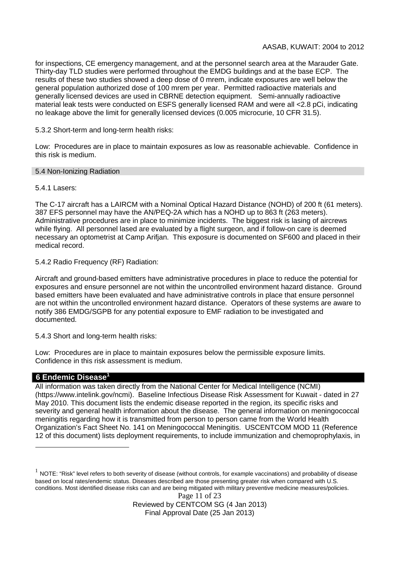for inspections, CE emergency management, and at the personnel search area at the Marauder Gate. Thirty-day TLD studies were performed throughout the EMDG buildings and at the base ECP. The results of these two studies showed a deep dose of 0 mrem, indicate exposures are well below the general population authorized dose of 100 mrem per year. Permitted radioactive materials and generally licensed devices are used in CBRNE detection equipment. Semi-annually radioactive material leak tests were conducted on ESFS generally licensed RAM and were all <2.8 pCi, indicating no leakage above the limit for generally licensed devices (0.005 microcurie, 10 CFR 31.5).

5.3.2 Short-term and long-term health risks:

Low: Procedures are in place to maintain exposures as low as reasonable achievable. Confidence in this risk is medium.

#### 5.4 Non-Ionizing Radiation

## 5.4.1 Lasers:

The C-17 aircraft has a LAIRCM with a Nominal Optical Hazard Distance (NOHD) of 200 ft (61 meters). 387 EFS personnel may have the AN/PEQ-2A which has a NOHD up to 863 ft (263 meters). Administrative procedures are in place to minimize incidents. The biggest risk is lasing of aircrews while flying. All personnel lased are evaluated by a flight surgeon, and if follow-on care is deemed necessary an optometrist at Camp Arifjan. This exposure is documented on SF600 and placed in their medical record.

5.4.2 Radio Frequency (RF) Radiation:

Aircraft and ground-based emitters have administrative procedures in place to reduce the potential for exposures and ensure personnel are not within the uncontrolled environment hazard distance. Ground based emitters have been evaluated and have administrative controls in place that ensure personnel are not within the uncontrolled environment hazard distance. Operators of these systems are aware to notify 386 EMDG/SGPB for any potential exposure to EMF radiation to be investigated and documented.

5.4.3 Short and long-term health risks:

Low: Procedures are in place to maintain exposures below the permissible exposure limits. Confidence in this risk assessment is medium.

## **6 Endemic Disease<sup>1</sup>**

All information was taken directly from the National Center for Medical Intelligence (NCMI) (https://www.intelink.gov/ncmi). Baseline Infectious Disease Risk Assessment for Kuwait - dated in 27 May 2010. This document lists the endemic disease reported in the region, its specific risks and severity and general health information about the disease. The general information on meningococcal meningitis regarding how it is transmitted from person to person came from the World Health Organization's Fact Sheet No. 141 on Meningococcal Meningitis. USCENTCOM MOD 11 (Reference 12 of this document) lists deployment requirements, to include immunization and chemoprophylaxis, in

Page 11 of 23 Reviewed by CENTCOM SG (4 Jan 2013) Final Approval Date (25 Jan 2013)

 $^1$  NOTE: "Risk" level refers to both severity of disease (without controls, for example vaccinations) and probability of disease based on local rates/endemic status. Diseases described are those presenting greater risk when compared with U.S. conditions. Most identified disease risks can and are being mitigated with military preventive medicine measures/policies.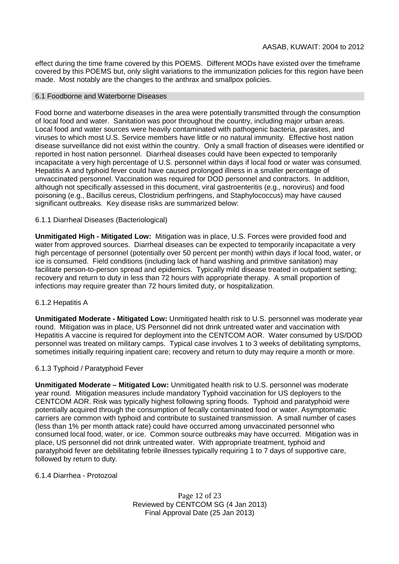effect during the time frame covered by this POEMS. Different MODs have existed over the timeframe covered by this POEMS but, only slight variations to the immunization policies for this region have been made. Most notably are the changes to the anthrax and smallpox policies.

#### 6.1 Foodborne and Waterborne Diseases

Food borne and waterborne diseases in the area were potentially transmitted through the consumption of local food and water. Sanitation was poor throughout the country, including major urban areas. Local food and water sources were heavily contaminated with pathogenic bacteria, parasites, and viruses to which most U.S. Service members have little or no natural immunity. Effective host nation disease surveillance did not exist within the country. Only a small fraction of diseases were identified or reported in host nation personnel. Diarrheal diseases could have been expected to temporarily incapacitate a very high percentage of U.S. personnel within days if local food or water was consumed. Hepatitis A and typhoid fever could have caused prolonged illness in a smaller percentage of unvaccinated personnel. Vaccination was required for DOD personnel and contractors. In addition, although not specifically assessed in this document, viral gastroenteritis (e.g., norovirus) and food poisoning (e.g., Bacillus cereus, Clostridium perfringens, and Staphylococcus) may have caused significant outbreaks. Key disease risks are summarized below:

## 6.1.1 Diarrheal Diseases (Bacteriological)

**Unmitigated High - Mitigated Low:** Mitigation was in place, U.S. Forces were provided food and water from approved sources. Diarrheal diseases can be expected to temporarily incapacitate a very high percentage of personnel (potentially over 50 percent per month) within days if local food, water, or ice is consumed. Field conditions (including lack of hand washing and primitive sanitation) may facilitate person-to-person spread and epidemics. Typically mild disease treated in outpatient setting; recovery and return to duty in less than 72 hours with appropriate therapy. A small proportion of infections may require greater than 72 hours limited duty, or hospitalization.

#### 6.1.2 Hepatitis A

**Unmitigated Moderate - Mitigated Low:** Unmitigated health risk to U.S. personnel was moderate year round. Mitigation was in place, US Personnel did not drink untreated water and vaccination with Hepatitis A vaccine is required for deployment into the CENTCOM AOR. Water consumed by US/DOD personnel was treated on military camps. Typical case involves 1 to 3 weeks of debilitating symptoms, sometimes initially requiring inpatient care; recovery and return to duty may require a month or more.

#### 6.1.3 Typhoid / Paratyphoid Fever

**Unmitigated Moderate – Mitigated Low:** Unmitigated health risk to U.S. personnel was moderate year round. Mitigation measures include mandatory Typhoid vaccination for US deployers to the CENTCOM AOR. Risk was typically highest following spring floods. Typhoid and paratyphoid were potentially acquired through the consumption of fecally contaminated food or water. Asymptomatic carriers are common with typhoid and contribute to sustained transmission. A small number of cases (less than 1% per month attack rate) could have occurred among unvaccinated personnel who consumed local food, water, or ice. Common source outbreaks may have occurred. Mitigation was in place, US personnel did not drink untreated water. With appropriate treatment, typhoid and paratyphoid fever are debilitating febrile illnesses typically requiring 1 to 7 days of supportive care, followed by return to duty.

#### 6.1.4 Diarrhea - Protozoal

Page 12 of 23 Reviewed by CENTCOM SG (4 Jan 2013) Final Approval Date (25 Jan 2013)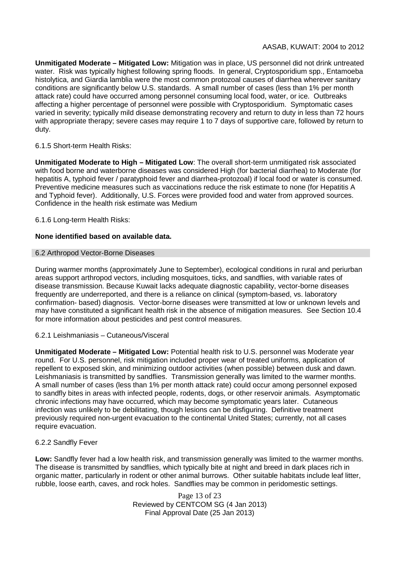**Unmitigated Moderate – Mitigated Low:** Mitigation was in place, US personnel did not drink untreated water. Risk was typically highest following spring floods. In general, Cryptosporidium spp., Entamoeba histolytica, and Giardia lamblia were the most common protozoal causes of diarrhea wherever sanitary conditions are significantly below U.S. standards. A small number of cases (less than 1% per month attack rate) could have occurred among personnel consuming local food, water, or ice. Outbreaks affecting a higher percentage of personnel were possible with Cryptosporidium. Symptomatic cases varied in severity; typically mild disease demonstrating recovery and return to duty in less than 72 hours with appropriate therapy; severe cases may require 1 to 7 days of supportive care, followed by return to duty.

## 6.1.5 Short-term Health Risks:

**Unmitigated Moderate to High – Mitigated Low**: The overall short-term unmitigated risk associated with food borne and waterborne diseases was considered High (for bacterial diarrhea) to Moderate (for hepatitis A, typhoid fever / paratyphoid fever and diarrhea-protozoal) if local food or water is consumed. Preventive medicine measures such as vaccinations reduce the risk estimate to none (for Hepatitis A and Typhoid fever). Additionally, U.S. Forces were provided food and water from approved sources. Confidence in the health risk estimate was Medium

## 6.1.6 Long-term Health Risks:

## **None identified based on available data.**

#### 6.2 Arthropod Vector-Borne Diseases

During warmer months (approximately June to September), ecological conditions in rural and periurban areas support arthropod vectors, including mosquitoes, ticks, and sandflies, with variable rates of disease transmission. Because Kuwait lacks adequate diagnostic capability, vector-borne diseases frequently are underreported, and there is a reliance on clinical (symptom-based, vs. laboratory confirmation- based) diagnosis. Vector-borne diseases were transmitted at low or unknown levels and may have constituted a significant health risk in the absence of mitigation measures. See Section 10.4 for more information about pesticides and pest control measures.

#### 6.2.1 Leishmaniasis – Cutaneous/Visceral

**Unmitigated Moderate – Mitigated Low:** Potential health risk to U.S. personnel was Moderate year round. For U.S. personnel, risk mitigation included proper wear of treated uniforms, application of repellent to exposed skin, and minimizing outdoor activities (when possible) between dusk and dawn. Leishmaniasis is transmitted by sandflies. Transmission generally was limited to the warmer months. A small number of cases (less than 1% per month attack rate) could occur among personnel exposed to sandfly bites in areas with infected people, rodents, dogs, or other reservoir animals. Asymptomatic chronic infections may have occurred, which may become symptomatic years later. Cutaneous infection was unlikely to be debilitating, though lesions can be disfiguring. Definitive treatment previously required non-urgent evacuation to the continental United States; currently, not all cases require evacuation.

#### 6.2.2 Sandfly Fever

**Low:** Sandfly fever had a low health risk, and transmission generally was limited to the warmer months. The disease is transmitted by sandflies, which typically bite at night and breed in dark places rich in organic matter, particularly in rodent or other animal burrows. Other suitable habitats include leaf litter, rubble, loose earth, caves, and rock holes. Sandflies may be common in peridomestic settings.

> Page 13 of 23 Reviewed by CENTCOM SG (4 Jan 2013) Final Approval Date (25 Jan 2013)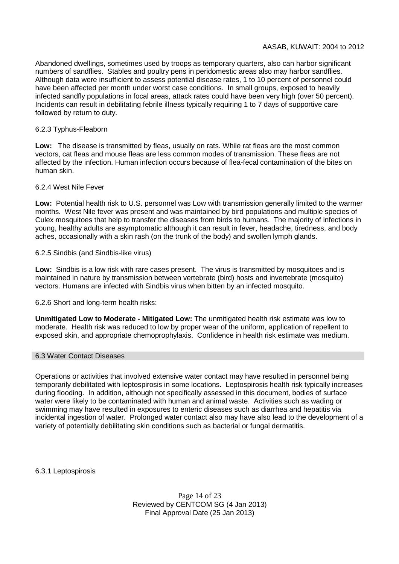Abandoned dwellings, sometimes used by troops as temporary quarters, also can harbor significant numbers of sandflies. Stables and poultry pens in peridomestic areas also may harbor sandflies. Although data were insufficient to assess potential disease rates, 1 to 10 percent of personnel could have been affected per month under worst case conditions. In small groups, exposed to heavily infected sandfly populations in focal areas, attack rates could have been very high (over 50 percent). Incidents can result in debilitating febrile illness typically requiring 1 to 7 days of supportive care followed by return to duty.

## 6.2.3 Typhus-Fleaborn

**Low:** The disease is transmitted by fleas, usually on rats. While rat fleas are the most common vectors, cat fleas and mouse fleas are less common modes of transmission. These fleas are not affected by the infection. Human infection occurs because of flea-fecal contamination of the bites on human skin.

## 6.2.4 West Nile Fever

**Low:** Potential health risk to U.S. personnel was Low with transmission generally limited to the warmer months. West Nile fever was present and was maintained by bird populations and multiple species of Culex mosquitoes that help to transfer the diseases from birds to humans. The majority of infections in young, healthy adults are asymptomatic although it can result in fever, headache, tiredness, and body aches, occasionally with a skin rash (on the trunk of the body) and swollen lymph glands.

## 6.2.5 Sindbis (and Sindbis-like virus)

**Low:** Sindbis is a low risk with rare cases present. The virus is transmitted by mosquitoes and is maintained in nature by transmission between vertebrate (bird) hosts and invertebrate (mosquito) vectors. Humans are infected with Sindbis virus when bitten by an infected mosquito.

## 6.2.6 Short and long-term health risks:

**Unmitigated Low to Moderate - Mitigated Low:** The unmitigated health risk estimate was low to moderate. Health risk was reduced to low by proper wear of the uniform, application of repellent to exposed skin, and appropriate chemoprophylaxis. Confidence in health risk estimate was medium.

#### 6.3 Water Contact Diseases

Operations or activities that involved extensive water contact may have resulted in personnel being temporarily debilitated with leptospirosis in some locations. Leptospirosis health risk typically increases during flooding. In addition, although not specifically assessed in this document, bodies of surface water were likely to be contaminated with human and animal waste. Activities such as wading or swimming may have resulted in exposures to enteric diseases such as diarrhea and hepatitis via incidental ingestion of water. Prolonged water contact also may have also lead to the development of a variety of potentially debilitating skin conditions such as bacterial or fungal dermatitis.

6.3.1 Leptospirosis

Page 14 of 23 Reviewed by CENTCOM SG (4 Jan 2013) Final Approval Date (25 Jan 2013)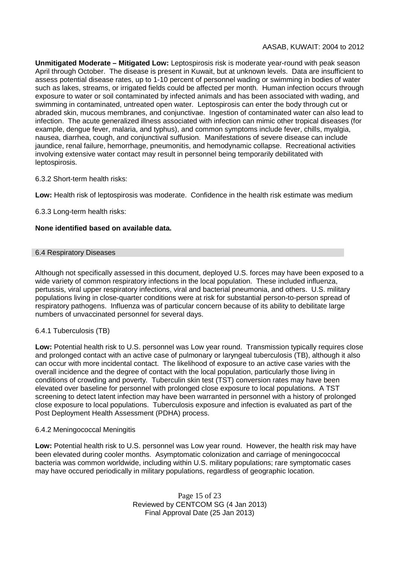**Unmitigated Moderate – Mitigated Low:** Leptospirosis risk is moderate year-round with peak season April through October. The disease is present in Kuwait, but at unknown levels. Data are insufficient to assess potential disease rates, up to 1-10 percent of personnel wading or swimming in bodies of water such as lakes, streams, or irrigated fields could be affected per month. Human infection occurs through exposure to water or soil contaminated by infected animals and has been associated with wading, and swimming in contaminated, untreated open water. Leptospirosis can enter the body through cut or abraded skin, mucous membranes, and conjunctivae. Ingestion of contaminated water can also lead to infection. The acute generalized illness associated with infection can mimic other tropical diseases (for example, dengue fever, malaria, and typhus), and common symptoms include fever, chills, myalgia, nausea, diarrhea, cough, and conjunctival suffusion. Manifestations of severe disease can include jaundice, renal failure, hemorrhage, pneumonitis, and hemodynamic collapse. Recreational activities involving extensive water contact may result in personnel being temporarily debilitated with leptospirosis.

## 6.3.2 Short-term health risks:

**Low:** Health risk of leptospirosis was moderate. Confidence in the health risk estimate was medium

6.3.3 Long-term health risks:

## **None identified based on available data.**

#### 6.4 Respiratory Diseases

Although not specifically assessed in this document, deployed U.S. forces may have been exposed to a wide variety of common respiratory infections in the local population. These included influenza, pertussis, viral upper respiratory infections, viral and bacterial pneumonia, and others. U.S. military populations living in close-quarter conditions were at risk for substantial person-to-person spread of respiratory pathogens. Influenza was of particular concern because of its ability to debilitate large numbers of unvaccinated personnel for several days.

#### 6.4.1 Tuberculosis (TB)

**Low:** Potential health risk to U.S. personnel was Low year round. Transmission typically requires close and prolonged contact with an active case of pulmonary or laryngeal tuberculosis (TB), although it also can occur with more incidental contact. The likelihood of exposure to an active case varies with the overall incidence and the degree of contact with the local population, particularly those living in conditions of crowding and poverty. Tuberculin skin test (TST) conversion rates may have been elevated over baseline for personnel with prolonged close exposure to local populations. A TST screening to detect latent infection may have been warranted in personnel with a history of prolonged close exposure to local populations. Tuberculosis exposure and infection is evaluated as part of the Post Deployment Health Assessment (PDHA) process.

#### 6.4.2 Meningococcal Meningitis

**Low:** Potential health risk to U.S. personnel was Low year round. However, the health risk may have been elevated during cooler months. Asymptomatic colonization and carriage of meningococcal bacteria was common worldwide, including within U.S. military populations; rare symptomatic cases may have occured periodically in military populations, regardless of geographic location.

> Page 15 of 23 Reviewed by CENTCOM SG (4 Jan 2013) Final Approval Date (25 Jan 2013)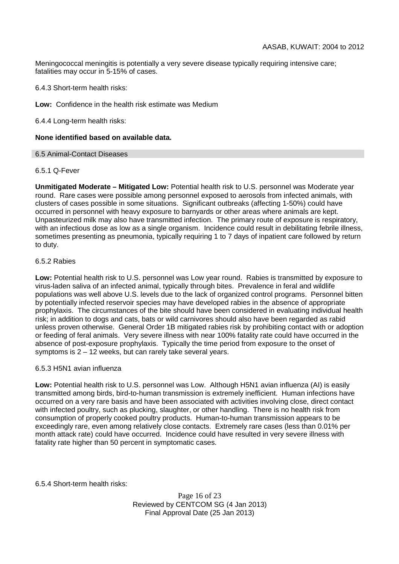Meningococcal meningitis is potentially a very severe disease typically requiring intensive care; fatalities may occur in 5-15% of cases.

6.4.3 Short-term health risks:

**Low:** Confidence in the health risk estimate was Medium

6.4.4 Long-term health risks:

#### **None identified based on available data.**

#### 6.5 Animal-Contact Diseases

#### 6.5.1 Q-Fever

**Unmitigated Moderate – Mitigated Low:** Potential health risk to U.S. personnel was Moderate year round. Rare cases were possible among personnel exposed to aerosols from infected animals, with clusters of cases possible in some situations. Significant outbreaks (affecting 1-50%) could have occurred in personnel with heavy exposure to barnyards or other areas where animals are kept. Unpasteurized milk may also have transmitted infection. The primary route of exposure is respiratory, with an infectious dose as low as a single organism. Incidence could result in debilitating febrile illness, sometimes presenting as pneumonia, typically requiring 1 to 7 days of inpatient care followed by return to duty.

#### 6.5.2 Rabies

**Low:** Potential health risk to U.S. personnel was Low year round. Rabies is transmitted by exposure to virus-laden saliva of an infected animal, typically through bites. Prevalence in feral and wildlife populations was well above U.S. levels due to the lack of organized control programs. Personnel bitten by potentially infected reservoir species may have developed rabies in the absence of appropriate prophylaxis. The circumstances of the bite should have been considered in evaluating individual health risk; in addition to dogs and cats, bats or wild carnivores should also have been regarded as rabid unless proven otherwise. General Order 1B mitigated rabies risk by prohibiting contact with or adoption or feeding of feral animals. Very severe illness with near 100% fatality rate could have occurred in the absence of post-exposure prophylaxis. Typically the time period from exposure to the onset of symptoms is 2 – 12 weeks, but can rarely take several years.

#### 6.5.3 H5N1 avian influenza

**Low:** Potential health risk to U.S. personnel was Low. Although H5N1 avian influenza (AI) is easily transmitted among birds, bird-to-human transmission is extremely inefficient. Human infections have occurred on a very rare basis and have been associated with activities involving close, direct contact with infected poultry, such as plucking, slaughter, or other handling. There is no health risk from consumption of properly cooked poultry products. Human-to-human transmission appears to be exceedingly rare, even among relatively close contacts. Extremely rare cases (less than 0.01% per month attack rate) could have occurred. Incidence could have resulted in very severe illness with fatality rate higher than 50 percent in symptomatic cases.

6.5.4 Short-term health risks:

Page 16 of 23 Reviewed by CENTCOM SG (4 Jan 2013) Final Approval Date (25 Jan 2013)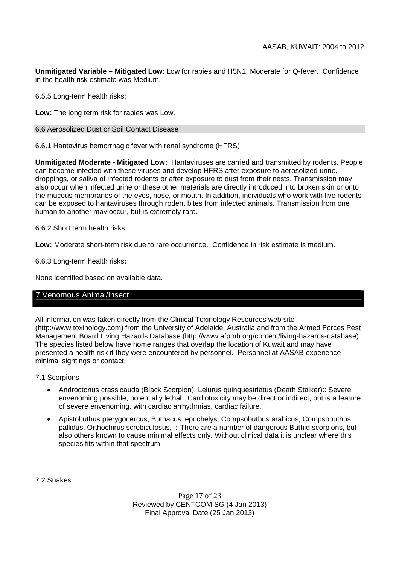**Unmitigated Variable – Mitigated Low**: Low for rabies and H5N1, Moderate for Q-fever. Confidence in the health risk estimate was Medium.

6.5.5 Long-term health risks:

**Low:** The long term risk for rabies was Low.

#### 6.6 Aerosolized Dust or Soil Contact Disease

6.6.1 Hantavirus hemorrhagic fever with renal syndrome (HFRS)

**Unmitigated Moderate - Mitigated Low:** Hantaviruses are carried and transmitted by rodents. People can become infected with these viruses and develop HFRS after exposure to aerosolized urine, droppings, or saliva of infected rodents or after exposure to dust from their nests. Transmission may also occur when infected urine or these other materials are directly introduced into broken skin or onto the mucous membranes of the eyes, nose, or mouth. In addition, individuals who work with live rodents can be exposed to hantaviruses through rodent bites from infected animals. Transmission from one human to another may occur, but is extremely rare.

#### 6.6.2 Short term health risks

**Low:** Moderate short-term risk due to rare occurrence. Confidence in risk estimate is medium.

6.6.3 Long-term health risks**:**

None identified based on available data.

## 7 Venomous Animal/Insect

All information was taken directly from the Clinical Toxinology Resources web site (http://www.toxinology.com) from the University of Adelaide, Australia and from the Armed Forces Pest Management Board Living Hazards Database (http://www.afpmb.org/content/living-hazards-database). The species listed below have home ranges that overlap the location of Kuwait and may have presented a health risk if they were encountered by personnel. Personnel at AASAB experience minimal sightings or contact.

7.1 Scorpions

- Androctonus crassicauda (Black Scorpion), Leiurus quinquestriatus (Death Stalker):: Severe envenoming possible, potentially lethal. Cardiotoxicity may be direct or indirect, but is a feature of severe envenoming, with cardiac arrhythmias, cardiac failure.
- Apistobuthus pterygocercus, Buthacus lepochelys, Compsobuthus arabicus, Compsobuthus pallidus, Orthochirus scrobiculosus, : There are a number of dangerous Buthid scorpions, but also others known to cause minimal effects only. Without clinical data it is unclear where this species fits within that spectrum.

7.2 Snakes

Page 17 of 23 Reviewed by CENTCOM SG (4 Jan 2013) Final Approval Date (25 Jan 2013)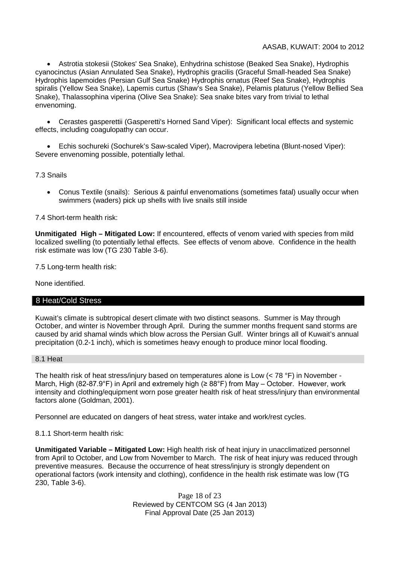Astrotia stokesii (Stokes' Sea Snake), Enhydrina schistose (Beaked Sea Snake), Hydrophis cyanocinctus (Asian Annulated Sea Snake), Hydrophis gracilis (Graceful Small-headed Sea Snake) Hydrophis lapemoides (Persian Gulf Sea Snake) Hydrophis ornatus (Reef Sea Snake), Hydrophis spiralis (Yellow Sea Snake), Lapemis curtus (Shaw's Sea Snake), Pelamis platurus (Yellow Bellied Sea Snake), Thalassophina viperina (Olive Sea Snake): Sea snake bites vary from trivial to lethal envenoming.

 Cerastes gasperettii (Gasperetti's Horned Sand Viper): Significant local effects and systemic effects, including coagulopathy can occur.

 Echis sochureki (Sochurek's Saw-scaled Viper), Macrovipera lebetina (Blunt-nosed Viper): Severe envenoming possible, potentially lethal.

7.3 Snails

 Conus Textile (snails): Serious & painful envenomations (sometimes fatal) usually occur when swimmers (waders) pick up shells with live snails still inside

#### 7.4 Short-term health risk:

**Unmitigated High – Mitigated Low:** If encountered, effects of venom varied with species from mild localized swelling (to potentially lethal effects. See effects of venom above. Confidence in the health risk estimate was low (TG 230 Table 3-6).

7.5 Long-term health risk:

None identified.

#### 8 Heat/Cold Stress

Kuwait's climate is subtropical desert climate with two distinct seasons. Summer is May through October, and winter is November through April. During the summer months frequent sand storms are caused by arid shamal winds which blow across the Persian Gulf. Winter brings all of Kuwait's annual precipitation (0.2-1 inch), which is sometimes heavy enough to produce minor local flooding.

#### 8.1 Heat

The health risk of heat stress/injury based on temperatures alone is Low (< 78 °F) in November - March, High (82-87.9°F) in April and extremely high (≥ 88°F) from May – October. However, work intensity and clothing/equipment worn pose greater health risk of heat stress/injury than environmental factors alone (Goldman, 2001).

Personnel are educated on dangers of heat stress, water intake and work/rest cycles.

8.1.1 Short-term health risk:

**Unmitigated Variable – Mitigated Low:** High health risk of heat injury in unacclimatized personnel from April to October, and Low from November to March. The risk of heat injury was reduced through preventive measures. Because the occurrence of heat stress/injury is strongly dependent on operational factors (work intensity and clothing), confidence in the health risk estimate was low (TG 230, Table 3-6).

> Page 18 of 23 Reviewed by CENTCOM SG (4 Jan 2013) Final Approval Date (25 Jan 2013)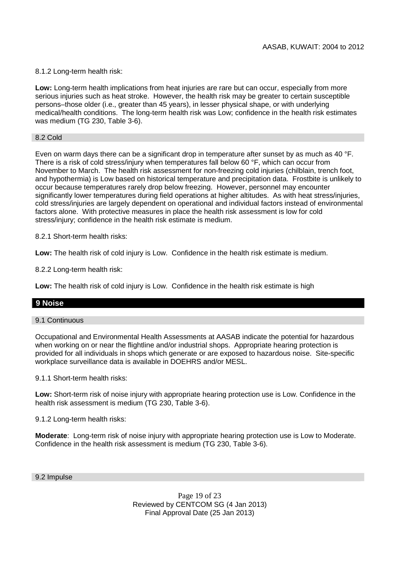## 8.1.2 Long-term health risk:

**Low:** Long-term health implications from heat injuries are rare but can occur, especially from more serious injuries such as heat stroke. However, the health risk may be greater to certain susceptible persons–those older (i.e., greater than 45 years), in lesser physical shape, or with underlying medical/health conditions. The long-term health risk was Low; confidence in the health risk estimates was medium (TG 230, Table 3-6).

#### 8.2 Cold

Even on warm days there can be a significant drop in temperature after sunset by as much as 40 °F. There is a risk of cold stress/injury when temperatures fall below 60 °F, which can occur from November to March. The health risk assessment for non-freezing cold injuries (chilblain, trench foot, and hypothermia) is Low based on historical temperature and precipitation data. Frostbite is unlikely to occur because temperatures rarely drop below freezing. However, personnel may encounter significantly lower temperatures during field operations at higher altitudes. As with heat stress/injuries, cold stress/injuries are largely dependent on operational and individual factors instead of environmental factors alone. With protective measures in place the health risk assessment is low for cold stress/injury; confidence in the health risk estimate is medium.

8.2.1 Short-term health risks:

**Low:** The health risk of cold injury is Low. Confidence in the health risk estimate is medium.

8.2.2 Long-term health risk:

**Low:** The health risk of cold injury is Low. Confidence in the health risk estimate is high

## **9 Noise**

#### 9.1 Continuous

Occupational and Environmental Health Assessments at AASAB indicate the potential for hazardous when working on or near the flightline and/or industrial shops. Appropriate hearing protection is provided for all individuals in shops which generate or are exposed to hazardous noise. Site-specific workplace surveillance data is available in DOEHRS and/or MESL.

9.1.1 Short-term health risks:

**Low:** Short-term risk of noise injury with appropriate hearing protection use is Low. Confidence in the health risk assessment is medium (TG 230, Table 3-6).

9.1.2 Long-term health risks:

**Moderate**: Long-term risk of noise injury with appropriate hearing protection use is Low to Moderate. Confidence in the health risk assessment is medium (TG 230, Table 3-6).

9.2 Impulse

Page 19 of 23 Reviewed by CENTCOM SG (4 Jan 2013) Final Approval Date (25 Jan 2013)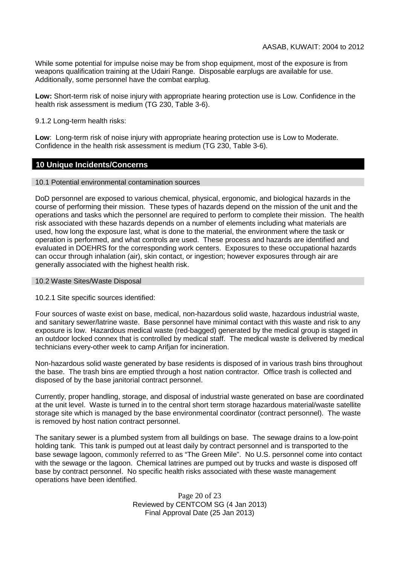While some potential for impulse noise may be from shop equipment, most of the exposure is from weapons qualification training at the Udairi Range. Disposable earplugs are available for use. Additionally, some personnel have the combat earplug.

**Low:** Short-term risk of noise injury with appropriate hearing protection use is Low. Confidence in the health risk assessment is medium (TG 230, Table 3-6).

9.1.2 Long-term health risks:

**Low**: Long-term risk of noise injury with appropriate hearing protection use is Low to Moderate. Confidence in the health risk assessment is medium (TG 230, Table 3-6).

## **10 Unique Incidents/Concerns**

#### 10.1 Potential environmental contamination sources

DoD personnel are exposed to various chemical, physical, ergonomic, and biological hazards in the course of performing their mission. These types of hazards depend on the mission of the unit and the operations and tasks which the personnel are required to perform to complete their mission. The health risk associated with these hazards depends on a number of elements including what materials are used, how long the exposure last, what is done to the material, the environment where the task or operation is performed, and what controls are used. These process and hazards are identified and evaluated in DOEHRS for the corresponding work centers. Exposures to these occupational hazards can occur through inhalation (air), skin contact, or ingestion; however exposures through air are generally associated with the highest health risk.

## 10.2 Waste Sites/Waste Disposal

10.2.1 Site specific sources identified:

Four sources of waste exist on base, medical, non-hazardous solid waste, hazardous industrial waste, and sanitary sewer/latrine waste. Base personnel have minimal contact with this waste and risk to any exposure is low. Hazardous medical waste (red-bagged) generated by the medical group is staged in an outdoor locked connex that is controlled by medical staff. The medical waste is delivered by medical technicians every-other week to camp Arifjan for incineration.

Non-hazardous solid waste generated by base residents is disposed of in various trash bins throughout the base. The trash bins are emptied through a host nation contractor. Office trash is collected and disposed of by the base janitorial contract personnel.

Currently, proper handling, storage, and disposal of industrial waste generated on base are coordinated at the unit level. Waste is turned in to the central short term storage hazardous material/waste satellite storage site which is managed by the base environmental coordinator (contract personnel). The waste is removed by host nation contract personnel.

The sanitary sewer is a plumbed system from all buildings on base. The sewage drains to a low-point holding tank. This tank is pumped out at least daily by contract personnel and is transported to the base sewage lagoon, commonly referred to as "The Green Mile". No U.S. personnel come into contact with the sewage or the lagoon. Chemical latrines are pumped out by trucks and waste is disposed off base by contract personnel. No specific health risks associated with these waste management operations have been identified.

> Page 20 of 23 Reviewed by CENTCOM SG (4 Jan 2013) Final Approval Date (25 Jan 2013)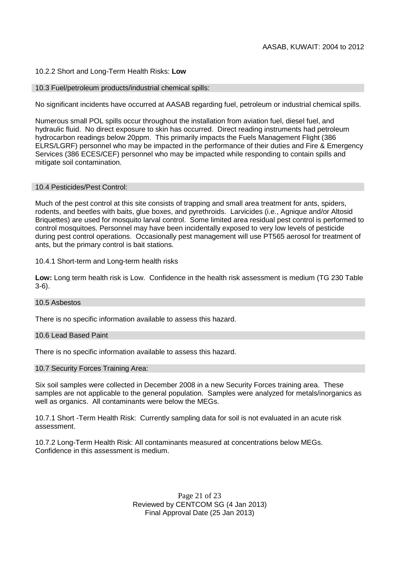#### 10.2.2 Short and Long-Term Health Risks: **Low**

#### 10.3 Fuel/petroleum products/industrial chemical spills:

No significant incidents have occurred at AASAB regarding fuel, petroleum or industrial chemical spills.

Numerous small POL spills occur throughout the installation from aviation fuel, diesel fuel, and hydraulic fluid. No direct exposure to skin has occurred. Direct reading instruments had petroleum hydrocarbon readings below 20ppm. This primarily impacts the Fuels Management Flight (386 ELRS/LGRF) personnel who may be impacted in the performance of their duties and Fire & Emergency Services (386 ECES/CEF) personnel who may be impacted while responding to contain spills and mitigate soil contamination.

#### 10.4 Pesticides/Pest Control:

Much of the pest control at this site consists of trapping and small area treatment for ants, spiders, rodents, and beetles with baits, glue boxes, and pyrethroids. Larvicides (i.e., Agnique and/or Altosid Briquettes) are used for mosquito larval control. Some limited area residual pest control is performed to control mosquitoes. Personnel may have been incidentally exposed to very low levels of pesticide during pest control operations. Occasionally pest management will use PT565 aerosol for treatment of ants, but the primary control is bait stations.

10.4.1 Short-term and Long-term health risks

**Low:** Long term health risk is Low. Confidence in the health risk assessment is medium (TG 230 Table 3-6).

#### 10.5 Asbestos

There is no specific information available to assess this hazard.

#### 10.6 Lead Based Paint

There is no specific information available to assess this hazard.

10.7 Security Forces Training Area:

Six soil samples were collected in December 2008 in a new Security Forces training area. These samples are not applicable to the general population. Samples were analyzed for metals/inorganics as well as organics. All contaminants were below the MEGs.

10.7.1 Short -Term Health Risk: Currently sampling data for soil is not evaluated in an acute risk assessment.

10.7.2 Long-Term Health Risk: All contaminants measured at concentrations below MEGs. Confidence in this assessment is medium.

> Page 21 of 23 Reviewed by CENTCOM SG (4 Jan 2013) Final Approval Date (25 Jan 2013)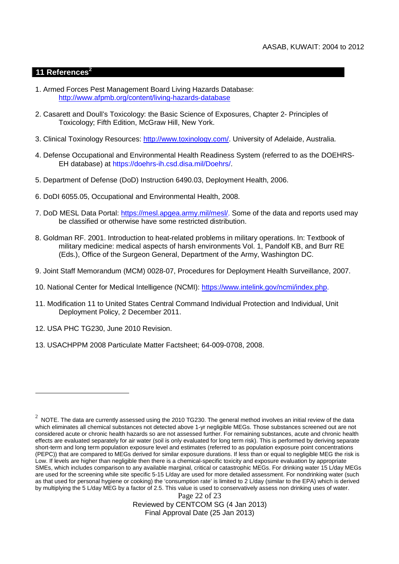## **11 References<sup>2</sup>**

- 1. Armed Forces Pest Management Board Living Hazards Database: http://www.afpmb.org/content/living-hazards-database
- 2. Casarett and Doull's Toxicology: the Basic Science of Exposures, Chapter 2- Principles of Toxicology; Fifth Edition, McGraw Hill, New York.
- 3. Clinical Toxinology Resources: http://www.toxinology.com/. University of Adelaide, Australia.
- 4. Defense Occupational and Environmental Health Readiness System (referred to as the DOEHRS-EH database) at https://doehrs-ih.csd.disa.mil/Doehrs/.
- 5. Department of Defense (DoD) Instruction 6490.03, Deployment Health, 2006.
- 6. DoDI 6055.05, Occupational and Environmental Health, 2008.
- 7. DoD MESL Data Portal: https://mesl.apgea.army.mil/mesl/. Some of the data and reports used may be classified or otherwise have some restricted distribution.
- 8. Goldman RF. 2001. Introduction to heat-related problems in military operations. In: Textbook of military medicine: medical aspects of harsh environments Vol. 1, Pandolf KB, and Burr RE (Eds.), Office of the Surgeon General, Department of the Army, Washington DC.
- 9. Joint Staff Memorandum (MCM) 0028-07, Procedures for Deployment Health Surveillance, 2007.
- 10. National Center for Medical Intelligence (NCMI): https://www.intelink.gov/ncmi/index.php.
- 11. Modification 11 to United States Central Command Individual Protection and Individual, Unit Deployment Policy, 2 December 2011.
- 12. USA PHC TG230, June 2010 Revision.
- 13. USACHPPM 2008 Particulate Matter Factsheet; 64-009-0708, 2008.

Page 22 of 23 Reviewed by CENTCOM SG (4 Jan 2013) Final Approval Date (25 Jan 2013)

 $^2$  NOTE. The data are currently assessed using the 2010 TG230. The general method involves an initial review of the data which eliminates all chemical substances not detected above 1-yr negligible MEGs. Those substances screened out are not considered acute or chronic health hazards so are not assessed further. For remaining substances, acute and chronic health effects are evaluated separately for air water (soil is only evaluated for long term risk). This is performed by deriving separate short-term and long term population exposure level and estimates (referred to as population exposure point concentrations (PEPC)) that are compared to MEGs derived for similar exposure durations. If less than or equal to negligible MEG the risk is Low. If levels are higher than negligible then there is a chemical-specific toxicity and exposure evaluation by appropriate SMEs, which includes comparison to any available marginal, critical or catastrophic MEGs. For drinking water 15 L/day MEGs are used for the screening while site specific 5-15 L/day are used for more detailed assessment. For nondrinking water (such as that used for personal hygiene or cooking) the 'consumption rate' is limited to 2 L/day (similar to the EPA) which is derived by multiplying the 5 L/day MEG by a factor of 2.5. This value is used to conservatively assess non drinking uses of water.